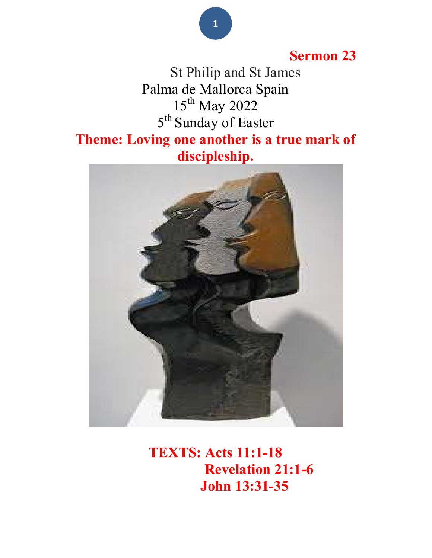## Sermon 23

 St Philip and St James Palma de Mallorca Spain 15<sup>th</sup> May 2022 5<sup>th</sup> Sunday of Easter Theme: Loving one another is a true mark of discipleship.



TEXTS: Acts 11:1-18 Revelation 21:1-6 John 13:31-35

1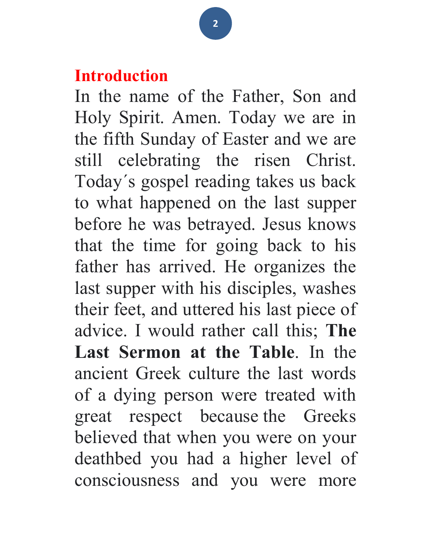## Introduction

In the name of the Father, Son and Holy Spirit. Amen. Today we are in the fifth Sunday of Easter and we are still celebrating the risen Christ. Today´s gospel reading takes us back to what happened on the last supper before he was betrayed. Jesus knows that the time for going back to his father has arrived. He organizes the last supper with his disciples, washes their feet, and uttered his last piece of advice. I would rather call this; The Last Sermon at the Table. In the ancient Greek culture the last words of a dying person were treated with great respect because the Greeks believed that when you were on your deathbed you had a higher level of consciousness and you were more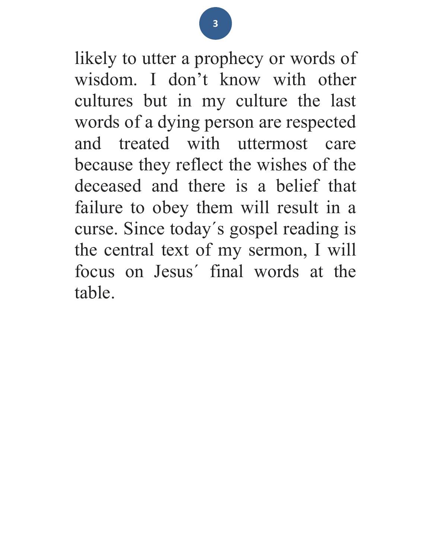likely to utter a prophecy or words of wisdom. I don't know with other cultures but in my culture the last words of a dying person are respected and treated with uttermost care because they reflect the wishes of the deceased and there is a belief that failure to obey them will result in a curse. Since today´s gospel reading is the central text of my sermon, I will focus on Jesus´ final words at the table.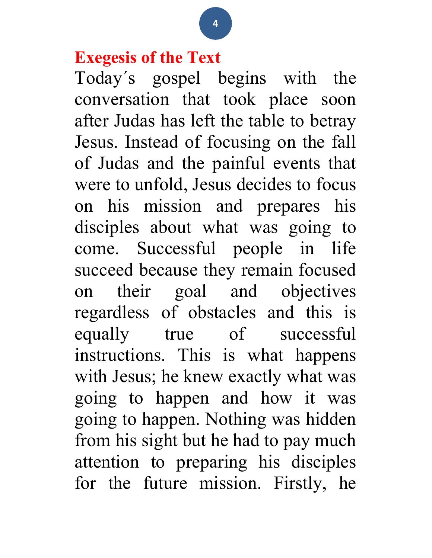## Exegesis of the Text

Today´s gospel begins with the conversation that took place soon after Judas has left the table to betray Jesus. Instead of focusing on the fall of Judas and the painful events that were to unfold, Jesus decides to focus on his mission and prepares his disciples about what was going to come. Successful people in life succeed because they remain focused on their goal and objectives regardless of obstacles and this is equally true of successful instructions. This is what happens with Jesus; he knew exactly what was going to happen and how it was going to happen. Nothing was hidden from his sight but he had to pay much attention to preparing his disciples for the future mission. Firstly, he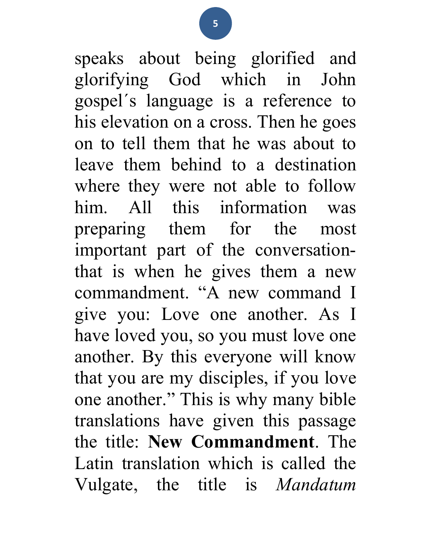speaks about being glorified and glorifying God which in John gospel´s language is a reference to his elevation on a cross. Then he goes on to tell them that he was about to leave them behind to a destination where they were not able to follow him. All this information was preparing them for the most important part of the conversationthat is when he gives them a new commandment. "A new command I give you: Love one another. As I have loved you, so you must love one another. By this everyone will know that you are my disciples, if you love one another." This is why many bible translations have given this passage the title: New Commandment. The Latin translation which is called the Vulgate, the title is Mandatum

5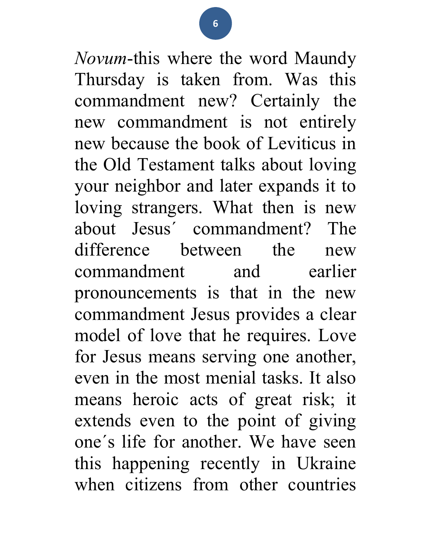Novum-this where the word Maundy Thursday is taken from. Was this commandment new? Certainly the new commandment is not entirely new because the book of Leviticus in the Old Testament talks about loving your neighbor and later expands it to loving strangers. What then is new about Jesus´ commandment? The difference between the new commandment and earlier pronouncements is that in the new commandment Jesus provides a clear model of love that he requires. Love for Jesus means serving one another, even in the most menial tasks. It also means heroic acts of great risk; it extends even to the point of giving one´s life for another. We have seen this happening recently in Ukraine when citizens from other countries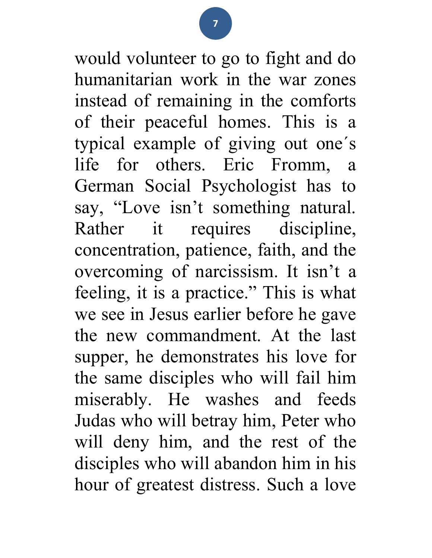would volunteer to go to fight and do humanitarian work in the war zones instead of remaining in the comforts of their peaceful homes. This is a typical example of giving out one´s life for others. Eric Fromm, a German Social Psychologist has to say, "Love isn't something natural. Rather it requires discipline, concentration, patience, faith, and the overcoming of narcissism. It isn't a feeling, it is a practice." This is what we see in Jesus earlier before he gave the new commandment. At the last supper, he demonstrates his love for the same disciples who will fail him miserably. He washes and feeds Judas who will betray him, Peter who will deny him, and the rest of the disciples who will abandon him in his hour of greatest distress. Such a love

7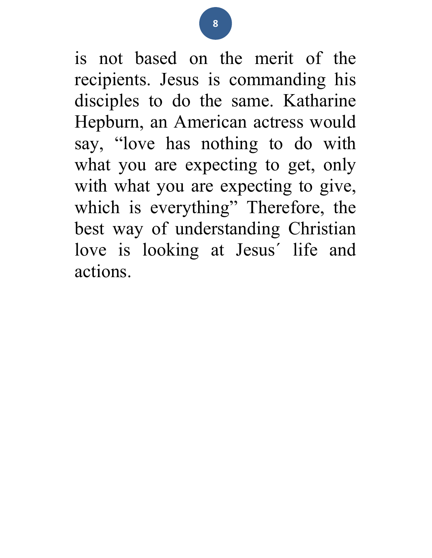is not based on the merit of the recipients. Jesus is commanding his disciples to do the same. Katharine Hepburn, an American actress would say, "love has nothing to do with what you are expecting to get, only with what you are expecting to give, which is everything" Therefore, the best way of understanding Christian love is looking at Jesus´ life and actions.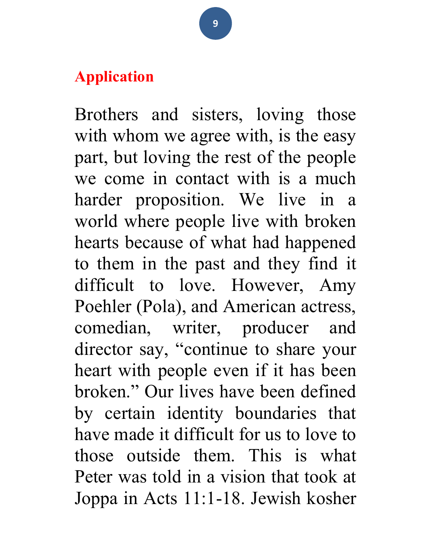## Application

Brothers and sisters, loving those with whom we agree with, is the easy part, but loving the rest of the people we come in contact with is a much harder proposition. We live in a world where people live with broken hearts because of what had happened to them in the past and they find it difficult to love. However, Amy Poehler (Pola), and American actress, comedian, writer, producer and director say, "continue to share your heart with people even if it has been broken." Our lives have been defined by certain identity boundaries that have made it difficult for us to love to those outside them. This is what Peter was told in a vision that took at Joppa in Acts 11:1-18. Jewish kosher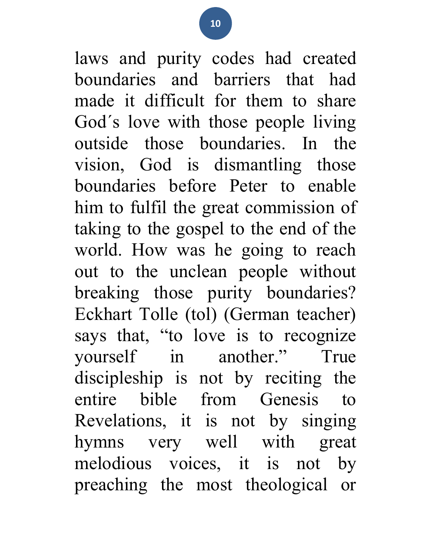laws and purity codes had created boundaries and barriers that had made it difficult for them to share God´s love with those people living outside those boundaries. In the vision, God is dismantling those boundaries before Peter to enable him to fulfil the great commission of taking to the gospel to the end of the world. How was he going to reach out to the unclean people without breaking those purity boundaries? Eckhart Tolle (tol) (German teacher) says that, "to love is to recognize yourself in another." True discipleship is not by reciting the entire bible from Genesis to Revelations, it is not by singing hymns very well with great melodious voices, it is not by preaching the most theological or